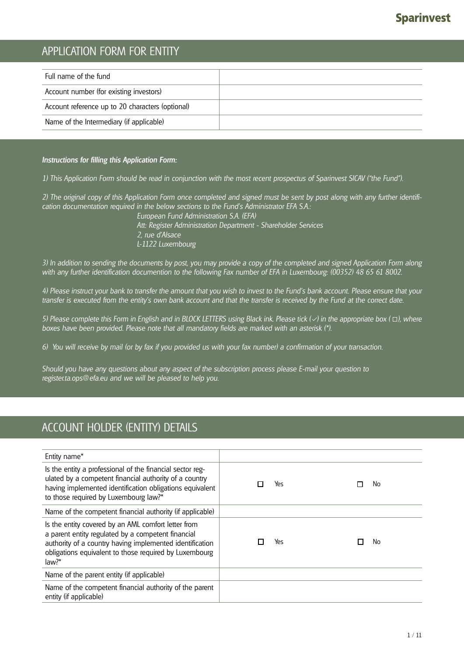### APPLICATION FORM FOR ENTITY

| Account number (for existing investors)<br>Account reference up to 20 characters (optional) | Full name of the fund                    |  |
|---------------------------------------------------------------------------------------------|------------------------------------------|--|
|                                                                                             |                                          |  |
|                                                                                             |                                          |  |
|                                                                                             | Name of the Intermediary (if applicable) |  |

#### *Instructions for filling this Application Form:*

*1) This Application Form should be read in conjunction with the most recent prospectus of Sparinvest SICAV ("the Fund").*

*2) The original copy of this Application Form once completed and signed must be sent by post along with any further identification documentation required in the below sections to the Fund's Administrator EFA S.A.:*

 *European Fund Administration S.A. (EFA) Att: Register Administration Department - Shareholder Services 2, rue d'Alsace L-1122 Luxembourg* 

*3) In addition to sending the documents by post, you may provide a copy of the completed and signed Application Form along with any further identification documention to the following Fax number of EFA in Luxembourg: (00352) 48 65 61 8002.*

*4) Please instruct your bank to transfer the amount that you wish to invest to the Fund's bank account. Please ensure that your transfer is executed from the entity's own bank account and that the transfer is received by the Fund at the correct date.* 

*5*) Please complete this Form in English and in BLOCK LETTERS using Black ink. Please tick (√) in the appropriate box (□), where *boxes have been provided. Please note that all mandatory fields are marked with an asterisk (\*).* 

*6) You will receive by mail (or by fax if you provided us with your fax number) a confirmation of your transaction.*

*Should you have any questions about any aspect of the subscription process please E-mail your question to register.ta.ops@efa.eu and we will be pleased to help you.*

### ACCOUNT HOLDER (ENTITY) DETAILS

| Entity name*                                                                                                                                                                                                                                |     |    |
|---------------------------------------------------------------------------------------------------------------------------------------------------------------------------------------------------------------------------------------------|-----|----|
| Is the entity a professional of the financial sector reg-<br>ulated by a competent financial authority of a country<br>having implemented identification obligations equivalent<br>to those required by Luxembourg law?*                    | Yes | No |
| Name of the competent financial authority (if applicable)                                                                                                                                                                                   |     |    |
| Is the entity covered by an AML comfort letter from<br>a parent entity regulated by a competent financial<br>authority of a country having implemented identification<br>obligations equivalent to those required by Luxembourg<br>$law?$ * | Yes | No |
| Name of the parent entity (if applicable)                                                                                                                                                                                                   |     |    |
| Name of the competent financial authority of the parent<br>entity (if applicable)                                                                                                                                                           |     |    |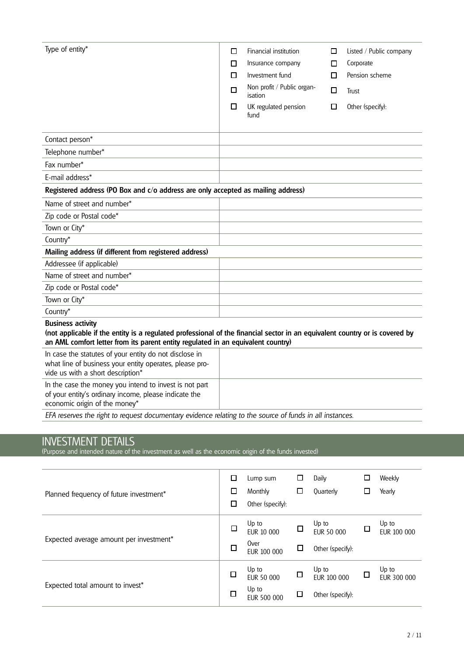| Type of entity*                                                                                                                                                                                                                             | ◻<br>□<br>$\Box$<br>П<br>□ | Financial institution<br>Insurance company<br>Investment fund<br>Non profit / Public organ-<br>isation<br>UK regulated pension<br>fund | □<br>□<br>п<br>П<br>□ | Listed / Public company<br>Corporate<br>Pension scheme<br>Trust<br>Other (specify): |
|---------------------------------------------------------------------------------------------------------------------------------------------------------------------------------------------------------------------------------------------|----------------------------|----------------------------------------------------------------------------------------------------------------------------------------|-----------------------|-------------------------------------------------------------------------------------|
| Contact person*                                                                                                                                                                                                                             |                            |                                                                                                                                        |                       |                                                                                     |
| Telephone number*                                                                                                                                                                                                                           |                            |                                                                                                                                        |                       |                                                                                     |
| Fax number*                                                                                                                                                                                                                                 |                            |                                                                                                                                        |                       |                                                                                     |
| E-mail address*                                                                                                                                                                                                                             |                            |                                                                                                                                        |                       |                                                                                     |
| Registered address (PO Box and c/o address are only accepted as mailing address)                                                                                                                                                            |                            |                                                                                                                                        |                       |                                                                                     |
| Name of street and number*                                                                                                                                                                                                                  |                            |                                                                                                                                        |                       |                                                                                     |
| Zip code or Postal code*                                                                                                                                                                                                                    |                            |                                                                                                                                        |                       |                                                                                     |
| Town or City*                                                                                                                                                                                                                               |                            |                                                                                                                                        |                       |                                                                                     |
| Country*                                                                                                                                                                                                                                    |                            |                                                                                                                                        |                       |                                                                                     |
| Mailing address (if different from registered address)                                                                                                                                                                                      |                            |                                                                                                                                        |                       |                                                                                     |
| Addressee (if applicable)                                                                                                                                                                                                                   |                            |                                                                                                                                        |                       |                                                                                     |
| Name of street and number*                                                                                                                                                                                                                  |                            |                                                                                                                                        |                       |                                                                                     |
| Zip code or Postal code*                                                                                                                                                                                                                    |                            |                                                                                                                                        |                       |                                                                                     |
| Town or City*                                                                                                                                                                                                                               |                            |                                                                                                                                        |                       |                                                                                     |
| Country*                                                                                                                                                                                                                                    |                            |                                                                                                                                        |                       |                                                                                     |
| <b>Business activity</b><br>(not applicable if the entity is a regulated professional of the financial sector in an equivalent country or is covered by<br>an AML comfort letter from its parent entity regulated in an equivalent country) |                            |                                                                                                                                        |                       |                                                                                     |
| In case the statutes of your entity do not disclose in<br>what line of business your entity operates, please pro-<br>vide us with a short description*                                                                                      |                            |                                                                                                                                        |                       |                                                                                     |
| In the case the money you intend to invest is not part<br>of your entity's ordinary income, please indicate the<br>economic origin of the money*                                                                                            |                            |                                                                                                                                        |                       |                                                                                     |

*EFA reserves the right to request documentary evidence relating to the source of funds in all instances.*

#### INVESTMENT DETAILS

(Purpose and intended nature of the investment as well as the economic origin of the funds invested)

| Planned frequency of future investment* | □<br>□<br>□ | Lump sum<br>Monthly<br>Other (specify):           | □      | Daily<br><b>Ouarterly</b>                | ⊔ | Weekly<br>Yearly     |
|-----------------------------------------|-------------|---------------------------------------------------|--------|------------------------------------------|---|----------------------|
| Expected average amount per investment* | □           | Up to<br><b>EUR 10 000</b><br>Over<br>EUR 100 000 | □<br>◻ | Up to<br>EUR 50 000<br>Other (specify):  | 口 | Up to<br>EUR 100 000 |
| Expected total amount to invest*        | □<br>$\Box$ | Up to<br>EUR 50 000<br>Up to<br>EUR 500 000       | □<br>□ | Up to<br>EUR 100 000<br>Other (specify): |   | Up to<br>EUR 300 000 |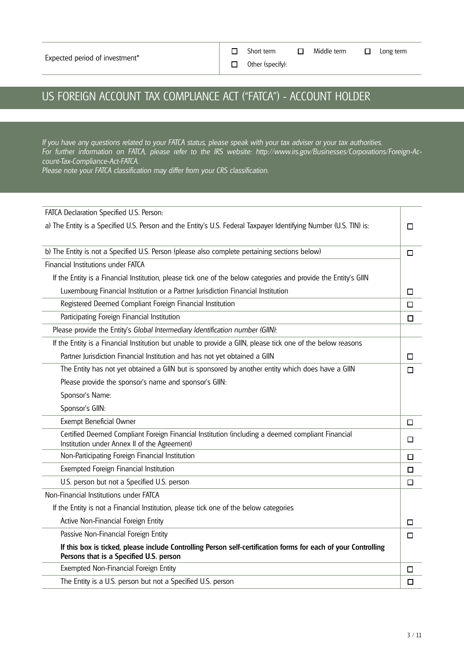Short term  $\Box$  Middle term  $\Box$  Long term

Other (specify):

## US FOREIGN ACCOUNT TAX COMPLIANCE ACT ("FATCA") - ACCOUNT HOLDER

*If you have any questions related to your FATCA status, please speak with your tax adviser or your tax authorities. For further information on FATCA, please refer to the IRS website: http://www.irs.gov/Businesses/Corporations/Foreign-Account-Tax-Compliance-Act-FATCA.*

 $\Box$  $\Box$ 

*Please note your FATCA classification may differ from your CRS classification.*

| FATCA Declaration Specified U.S. Person:                                                                                                                  |        |
|-----------------------------------------------------------------------------------------------------------------------------------------------------------|--------|
| a) The Entity is a Specified U.S. Person and the Entity's U.S. Federal Taxpayer Identifying Number (U.S. TIN) is:                                         | □      |
|                                                                                                                                                           |        |
| b) The Entity is not a Specified U.S. Person (please also complete pertaining sections below)                                                             | $\Box$ |
| Financial Institutions under FATCA                                                                                                                        |        |
| If the Entity is a Financial Institution, please tick one of the below categories and provide the Entity's GIIN                                           |        |
| Luxembourg Financial Institution or a Partner Jurisdiction Financial Institution                                                                          | □      |
| Registered Deemed Compliant Foreign Financial Institution                                                                                                 | □      |
| Participating Foreign Financial Institution                                                                                                               | $\Box$ |
| Please provide the Entity's Global Intermediary Identification number (GIIN):                                                                             |        |
| If the Entity is a Financial Institution but unable to provide a GIIN, please tick one of the below reasons                                               |        |
| Partner Jurisdiction Financial Institution and has not yet obtained a GIIN                                                                                | □      |
| The Entity has not yet obtained a GIIN but is sponsored by another entity which does have a GIIN                                                          | □      |
| Please provide the sponsor's name and sponsor's GIIN:                                                                                                     |        |
| Sponsor's Name:                                                                                                                                           |        |
| Sponsor's GIIN:                                                                                                                                           |        |
| Exempt Beneficial Owner                                                                                                                                   | $\Box$ |
| Certified Deemed Compliant Foreign Financial Institution (including a deemed compliant Financial<br>Institution under Annex II of the Agreement)          | $\Box$ |
| Non-Participating Foreign Financial Institution                                                                                                           | □      |
| Exempted Foreign Financial Institution                                                                                                                    | П      |
| U.S. person but not a Specified U.S. person                                                                                                               | □      |
| Non-Financial Institutions under FATCA                                                                                                                    |        |
| If the Entity is not a Financial Institution, please tick one of the below categories                                                                     |        |
| Active Non-Financial Foreign Entity                                                                                                                       | □      |
| Passive Non-Financial Foreign Entity                                                                                                                      | $\Box$ |
| If this box is ticked, please include Controlling Person self-certification forms for each of your Controlling<br>Persons that is a Specified U.S. person |        |
| Exempted Non-Financial Foreign Entity                                                                                                                     | □      |
| The Entity is a U.S. person but not a Specified U.S. person                                                                                               | □      |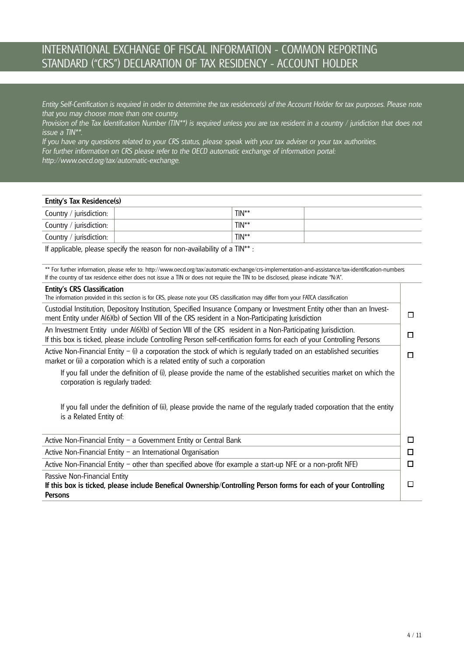### INTERNATIONAL EXCHANGE OF FISCAL INFORMATION - COMMON REPORTING STANDARD ("CRS") DECLARATION OF TAX RESIDENCY - ACCOUNT HOLDER

*Entity Self-Certification is required in order to determine the tax residence(s) of the Account Holder for tax purposes. Please note that you may choose more than one country.*

*Provision of the Tax Identifcation Number (TIN\*\*) is required unless you are tax resident in a country / juridiction that does not issue a TIN\*\*.*

*If you have any questions related to your CRS status, please speak with your tax adviser or your tax authorities. For further information on CRS please refer to the OECD automatic exchange of information portal: http://www.oecd.org/tax/automatic-exchange.*

| Entity's Tax Residence(s) |         |  |  |  |  |  |
|---------------------------|---------|--|--|--|--|--|
| Country / jurisdiction:   | $TIN**$ |  |  |  |  |  |
| Country / jurisdiction:   | $TIN**$ |  |  |  |  |  |
| Country / jurisdiction:   | $TIN**$ |  |  |  |  |  |

If applicable, please specify the reason for non-availability of a TIN\*\* :

\*\* For further information, please refer to: http://www.oecd.org/tax/automatic-exchange/crs-implementation-and-assistance/tax-identification-numbers If the country of tax residence either does not issue a TIN or does not require the TIN to be disclosed, please indicate "N/A".

| <b>Entity's CRS Classification</b><br>The information provided in this section is for CRS, please note your CRS classification may differ from your FATCA classification                                                              |   |
|---------------------------------------------------------------------------------------------------------------------------------------------------------------------------------------------------------------------------------------|---|
| Custodial Institution, Depository Institution, Specified Insurance Company or Investment Entity other than an Invest-<br>ment Entity under A(6)(b) of Section VIII of the CRS resident in a Non-Participating Jurisdiction            | □ |
| An Investment Entity under A(6)(b) of Section VIII of the CRS resident in a Non-Participating Jurisdiction.<br>If this box is ticked, please include Controlling Person self-certification forms for each of your Controlling Persons |   |
| Active Non-Financial Entity $-$ (i) a corporation the stock of which is regularly traded on an established securities<br>market or (ii) a corporation which is a related entity of such a corporation                                 |   |
| If you fall under the definition of (i), please provide the name of the established securities market on which the<br>corporation is regularly traded:                                                                                |   |
| If you fall under the definition of (ii), please provide the name of the regularly traded corporation that the entity<br>is a Related Entity of:                                                                                      |   |
| Active Non-Financial Entity - a Government Entity or Central Bank                                                                                                                                                                     | П |
| Active Non-Financial Entity - an International Organisation                                                                                                                                                                           | П |
| Active Non-Financial Entity - other than specified above (for example a start-up NFE or a non-profit NFE)                                                                                                                             | П |
| Passive Non-Financial Entity<br>If this box is ticked, please include Benefical Ownership/Controlling Person forms for each of your Controlling<br><b>Persons</b>                                                                     | □ |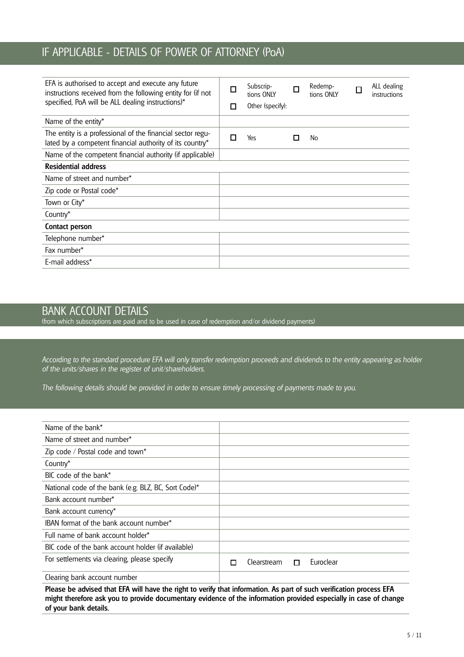### IF APPLICABLE - DETAILS OF POWER OF ATTORNEY (PoA)

| EFA is authorised to accept and execute any future<br>instructions received from the following entity for (if not<br>specified, PoA will be ALL dealing instructions)* | П<br>П | Subscrip-<br>tions ONLY<br>Other (specify): | П  | Redemp-<br>tions ONLY | ALL dealing<br>instructions |
|------------------------------------------------------------------------------------------------------------------------------------------------------------------------|--------|---------------------------------------------|----|-----------------------|-----------------------------|
| Name of the entity*                                                                                                                                                    |        |                                             |    |                       |                             |
| The entity is a professional of the financial sector regu-<br>lated by a competent financial authority of its country*                                                 |        | Yes                                         | LΙ | No                    |                             |
| Name of the competent financial authority (if applicable)                                                                                                              |        |                                             |    |                       |                             |
| <b>Residential address</b>                                                                                                                                             |        |                                             |    |                       |                             |
| Name of street and number*                                                                                                                                             |        |                                             |    |                       |                             |
| Zip code or Postal code*                                                                                                                                               |        |                                             |    |                       |                             |
| Town or City*                                                                                                                                                          |        |                                             |    |                       |                             |
| Country*                                                                                                                                                               |        |                                             |    |                       |                             |
| Contact person                                                                                                                                                         |        |                                             |    |                       |                             |
| Telephone number*                                                                                                                                                      |        |                                             |    |                       |                             |
| Fax number*                                                                                                                                                            |        |                                             |    |                       |                             |
| E-mail address*                                                                                                                                                        |        |                                             |    |                       |                             |

#### BANK ACCOUNT DETAILS

(from which subscriptions are paid and to be used in case of redemption and/or dividend payments)

*According to the standard procedure EFA will only transfer redemption proceeds and dividends to the entity appearing as holder of the units/shares in the register of unit/shareholders.*

*The following details should be provided in order to ensure timely processing of payments made to you.*

| Name of the bank*                                    |                               |
|------------------------------------------------------|-------------------------------|
| Name of street and number*                           |                               |
| Zip code / Postal code and town*                     |                               |
| Country*                                             |                               |
| BIC code of the bank*                                |                               |
| National code of the bank (e.g. BLZ, BC, Sort Code)* |                               |
| Bank account number*                                 |                               |
| Bank account currency*                               |                               |
| IBAN format of the bank account number*              |                               |
| Full name of bank account holder*                    |                               |
| BIC code of the bank account holder (if available)   |                               |
| For settlements via clearing, please specify         | Euroclear<br>Clearstream<br>П |
| Clearing bank account number                         |                               |

Please be advised that EFA will have the right to verify that information. As part of such verification process EFA might therefore ask you to provide documentary evidence of the information provided especially in case of change of your bank details.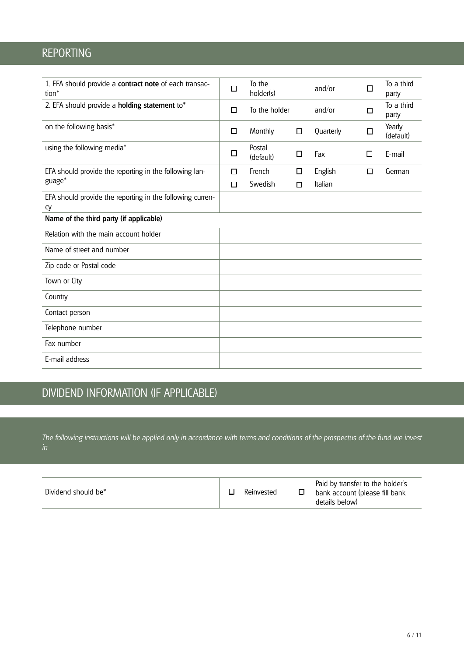### REPORTING

| 1. EFA should provide a contract note of each transac-<br>tion* | $\Box$ | To the<br>holder(s) |        | and/or    | □      | To a third<br>party |
|-----------------------------------------------------------------|--------|---------------------|--------|-----------|--------|---------------------|
| 2. EFA should provide a <b>holding statement</b> to*            | $\Box$ | To the holder       |        | and/or    | О      | To a third<br>party |
| on the following basis*                                         | $\Box$ | Monthly             | $\Box$ | Quarterly | □      | Yearly<br>(default) |
| using the following media*                                      | $\Box$ | Postal<br>(default) | □      | Fax       | □      | E-mail              |
| EFA should provide the reporting in the following lan-          | □      | French              | □      | English   | $\Box$ | German              |
| guage*                                                          | □      | Swedish             | □      | Italian   |        |                     |
| EFA should provide the reporting in the following curren-<br>сy |        |                     |        |           |        |                     |
| Name of the third party (if applicable)                         |        |                     |        |           |        |                     |
| Relation with the main account holder                           |        |                     |        |           |        |                     |
| Name of street and number                                       |        |                     |        |           |        |                     |
| Zip code or Postal code                                         |        |                     |        |           |        |                     |
| Town or City                                                    |        |                     |        |           |        |                     |
| Country                                                         |        |                     |        |           |        |                     |
| Contact person                                                  |        |                     |        |           |        |                     |
| Telephone number                                                |        |                     |        |           |        |                     |
| Fax number                                                      |        |                     |        |           |        |                     |
| E-mail address                                                  |        |                     |        |           |        |                     |

# DIVIDEND INFORMATION (IF APPLICABLE)

*The following instructions will be applied only in accordance with terms and conditions of the prospectus of the fund we invest in*

| Dividend should be* | Reinvested | Paid by transfer to the holder's<br>bank account (please fill bank |
|---------------------|------------|--------------------------------------------------------------------|
|                     |            | details below)                                                     |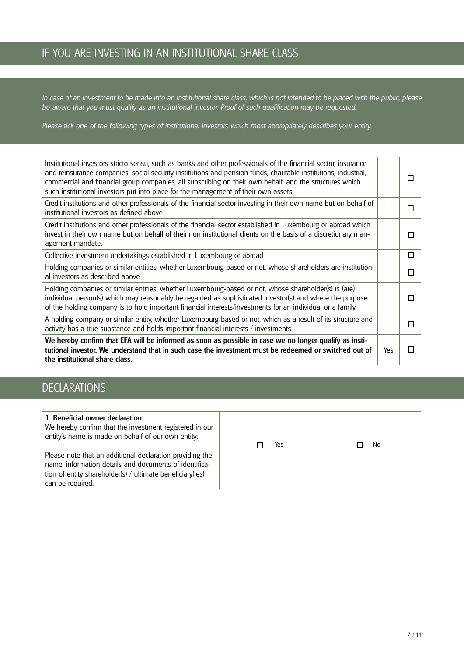### IF YOU ARE INVESTING IN AN INSTITUTIONAL SHARE CLASS

*In case of an investment to be made into an institutional share class, which is not intended to be placed with the public, please be aware that you must qualify as an institutional investor. Proof of such qualification may be requested.* 

*Please tick one of the following types of institutional investors which most appropriately describes your entity.*

| Institutional investors stricto sensu, such as banks and other professionals of the financial sector, insurance<br>and reinsurance companies, social security institutions and pension funds, charitable institutions, industrial,<br>commercial and financial group companies, all subscribing on their own behalf, and the structures which<br>such institutional investors put into place for the management of their own assets. |     | П |
|--------------------------------------------------------------------------------------------------------------------------------------------------------------------------------------------------------------------------------------------------------------------------------------------------------------------------------------------------------------------------------------------------------------------------------------|-----|---|
| Credit institutions and other professionals of the financial sector investing in their own name but on behalf of<br>institutional investors as defined above.                                                                                                                                                                                                                                                                        |     | □ |
| Credit institutions and other professionals of the financial sector established in Luxembourg or abroad which<br>invest in their own name but on behalf of their non institutional clients on the basis of a discretionary man-<br>agement mandate.                                                                                                                                                                                  |     | П |
| Collective investment undertakings established in Luxembourg or abroad.                                                                                                                                                                                                                                                                                                                                                              |     | □ |
| Holding companies or similar entities, whether Luxembourg-based or not, whose shareholders are institution-<br>al investors as described above.                                                                                                                                                                                                                                                                                      |     | П |
| Holding companies or similar entities, whether Luxembourg-based or not, whose shareholder(s) is (are)<br>individual person(s) which may reasonably be regarded as sophisticated investor(s) and where the purpose<br>of the holding company is to hold important financial interests/investments for an individual or a family.                                                                                                      |     | П |
| A holding company or similar entity, whether Luxembourg-based or not, which as a result of its structure and<br>activity has a true substance and holds important financial interests / investments.                                                                                                                                                                                                                                 |     | П |
| We hereby confirm that EFA will be informed as soon as possible in case we no longer qualify as insti-<br>tutional investor. We understand that in such case the investment must be redeemed or switched out of<br>the institutional share class.                                                                                                                                                                                    | Yes | П |

### **DECLARATIONS**

| 1. Beneficial owner declaration<br>We hereby confirm that the investment registered in our<br>entity's name is made on behalf of our own entity:                                                    | Yes | No |
|-----------------------------------------------------------------------------------------------------------------------------------------------------------------------------------------------------|-----|----|
| Please note that an additional declaration providing the<br>name, information details and documents of identifica-<br>tion of entity shareholder(s) / ultimate beneficiary(ies)<br>can be required. |     |    |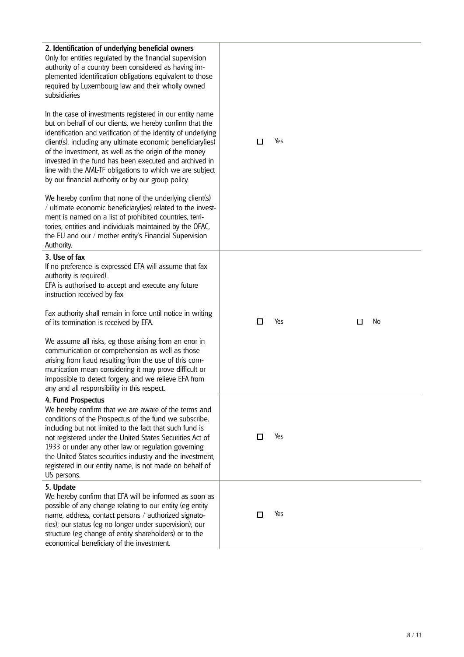| 2. Identification of underlying beneficial owners<br>Only for entities regulated by the financial supervision<br>authority of a country been considered as having im-<br>plemented identification obligations equivalent to those<br>required by Luxembourg law and their wholly owned<br>subsidiaries                                                                                                                                                                                    |        |     |         |
|-------------------------------------------------------------------------------------------------------------------------------------------------------------------------------------------------------------------------------------------------------------------------------------------------------------------------------------------------------------------------------------------------------------------------------------------------------------------------------------------|--------|-----|---------|
| In the case of investments registered in our entity name<br>but on behalf of our clients, we hereby confirm that the<br>identification and verification of the identity of underlying<br>client(s), including any ultimate economic beneficiary(ies)<br>of the investment, as well as the origin of the money<br>invested in the fund has been executed and archived in<br>line with the AML-TF obligations to which we are subject<br>by our financial authority or by our group policy. | □      | Yes |         |
| We hereby confirm that none of the underlying client(s)<br>/ ultimate economic beneficiary(ies) related to the invest-<br>ment is named on a list of prohibited countries, terri-<br>tories, entities and individuals maintained by the OFAC,<br>the EU and our / mother entity's Financial Supervision<br>Authority.                                                                                                                                                                     |        |     |         |
| 3. Use of fax<br>If no preference is expressed EFA will assume that fax<br>authority is required).<br>EFA is authorised to accept and execute any future<br>instruction received by fax                                                                                                                                                                                                                                                                                                   |        |     |         |
| Fax authority shall remain in force until notice in writing<br>of its termination is received by EFA.                                                                                                                                                                                                                                                                                                                                                                                     | $\Box$ | Yes | No<br>□ |
| We assume all risks, eg those arising from an error in<br>communication or comprehension as well as those<br>arising from fraud resulting from the use of this com-<br>munication mean considering it may prove difficult or<br>impossible to detect forgery, and we relieve EFA from<br>any and all responsibility in this respect.                                                                                                                                                      |        |     |         |
| 4. Fund Prospectus<br>We hereby confirm that we are aware of the terms and<br>conditions of the Prospectus of the fund we subscribe,<br>including but not limited to the fact that such fund is<br>not registered under the United States Securities Act of<br>1933 or under any other law or regulation governing<br>the United States securities industry and the investment,<br>registered in our entity name, is not made on behalf of<br>US persons.                                 | □      | Yes |         |
| 5. Update<br>We hereby confirm that EFA will be informed as soon as<br>possible of any change relating to our entity (eg entity<br>name, address, contact persons / authorized signato-<br>ries); our status (eg no longer under supervision); our<br>structure (eg change of entity shareholders) or to the<br>economical beneficiary of the investment.                                                                                                                                 | □      | Yes |         |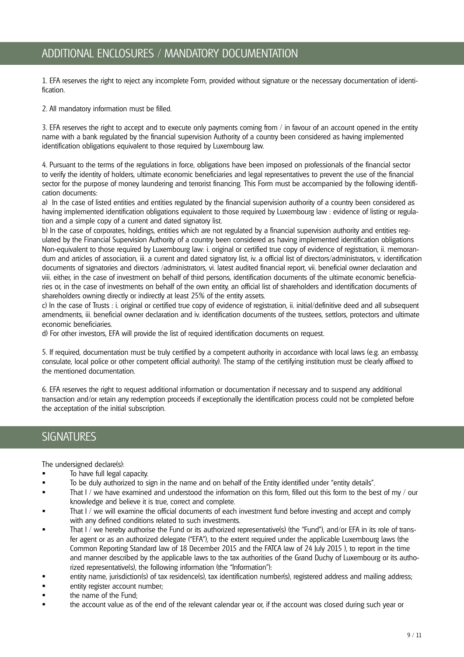1. EFA reserves the right to reject any incomplete Form, provided without signature or the necessary documentation of identification.

2. All mandatory information must be filled.

3. EFA reserves the right to accept and to execute only payments coming from / in favour of an account opened in the entity name with a bank regulated by the financial supervision Authority of a country been considered as having implemented identification obligations equivalent to those required by Luxembourg law.

4. Pursuant to the terms of the regulations in force, obligations have been imposed on professionals of the financial sector to verify the identity of holders, ultimate economic beneficiaries and legal representatives to prevent the use of the financial sector for the purpose of money laundering and terrorist financing. This Form must be accompanied by the following identification documents:

a) In the case of listed entities and entities regulated by the financial supervision authority of a country been considered as having implemented identification obligations equivalent to those required by Luxembourg law : evidence of listing or regulation and a simple copy of a current and dated signatory list.

b) In the case of corporates, holdings, entities which are not regulated by a financial supervision authority and entities regulated by the Financial Supervision Authority of a country been considered as having implemented identification obligations Non-equivalent to those required by Luxembourg law: i. original or certified true copy of evidence of registration, ii. memorandum and articles of association, iii. a current and dated signatory list, iv. a official list of directors/administrators, v. identification documents of signatories and directors /administrators, vi. latest audited financial report, vii. beneficial owner declaration and viii. either, in the case of investment on behalf of third persons, identification documents of the ultimate economic beneficiaries or, in the case of investments on behalf of the own entity, an official list of shareholders and identification documents of shareholders owning directly or indirectly at least 25% of the entity assets.

c) In the case of Trusts : i. original or certified true copy of evidence of registration, ii. initial/definitive deed and all subsequent amendments, iii. beneficial owner declaration and iv. identification documents of the trustees, settlors, protectors and ultimate economic beneficiaries.

d) For other investors, EFA will provide the list of required identification documents on request.

5. If required, documentation must be truly certified by a competent authority in accordance with local laws (e.g. an embassy, consulate, local police or other competent official authority). The stamp of the certifying institution must be clearly affixed to the mentioned documentation.

6. EFA reserves the right to request additional information or documentation if necessary and to suspend any additional transaction and/or retain any redemption proceeds if exceptionally the identification process could not be completed before the acceptation of the initial subscription.

#### **SIGNATURES**

The undersigned declare(s):

- To have full legal capacity.
- To be duly authorized to sign in the name and on behalf of the Entity identified under "entity details".
- That I / we have examined and understood the information on this form, filled out this form to the best of my / our knowledge and believe it is true, correct and complete.
- That I / we will examine the official documents of each investment fund before investing and accept and comply with any defined conditions related to such investments.
- That I / we hereby authorise the Fund or its authorized representative(s) (the "Fund"), and/or EFA in its role of transfer agent or as an authorized delegate ("EFA"), to the extent required under the applicable Luxembourg laws (the Common Reporting Standard law of 18 December 2015 and the FATCA law of 24 July 2015 ), to report in the time and manner described by the applicable laws to the tax authorities of the Grand Duchy of Luxembourg or its authorized representative(s), the following information (the "Information"):
- entity name, jurisdiction(s) of tax residence(s), tax identification number(s), registered address and mailing address;
- entity register account number;
- **the name of the Fund:**
- the account value as of the end of the relevant calendar year or, if the account was closed during such year or